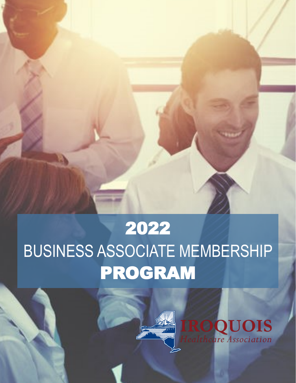# 2022 BUSINESS ASSOCIATE MEMBERSHIP PROGRAM

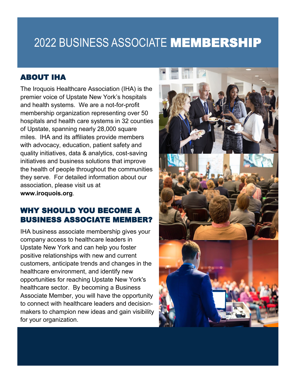## 2022 BUSINESS ASSOCIATE MEMBERSHIP

## ABOUT IHA

The Iroquois Healthcare Association (IHA) is the premier voice of Upstate New York's hospitals and health systems. We are a not-for-profit membership organization representing over 50 hospitals and health care systems in 32 counties of Upstate, spanning nearly 28,000 square miles. IHA and its affiliates provide members with advocacy, education, patient safety and quality initiatives, data & analytics, cost-saving initiatives and business solutions that improve the health of people throughout the communities they serve. For detailed information about our association, please visit us at **www.iroquois.org**.

## WHY SHOULD YOU BECOME A BUSINESS ASSOCIATE MEMBER?

IHA business associate membership gives your company access to healthcare leaders in Upstate New York and can help you foster positive relationships with new and current customers, anticipate trends and changes in the healthcare environment, and identify new opportunities for reaching Upstate New York's healthcare sector. By becoming a Business Associate Member, you will have the opportunity to connect with healthcare leaders and decisionmakers to champion new ideas and gain visibility for your organization.

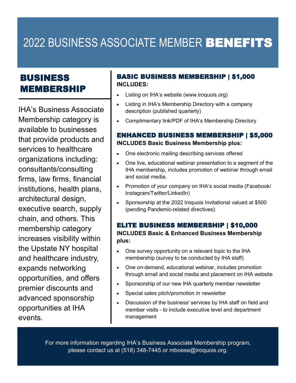## 2022 BUSINESS ASSOCIATE MEMBER BENEFITS

## BUSINESS MEMBERSHIP

IHA's Business Associate Membership category is available to businesses that provide products and services to healthcare organizations including: consultants/consulting firms, law firms, financial institutions, health plans, architectural design, executive search, supply chain, and others. This membership category increases visibility within the Upstate NY hospital and healthcare industry, expands networking opportunities, and offers premier discounts and advanced sponsorship opportunities at IHA events.

## BASIC BUSINESS MEMBERSHIP | \$1,000 **INCLUDES:**

- Listing on IHA's website (www.iroquois.org)
- Listing in IHA's Membership Directory with a company description (published quarterly)
- Complimentary link/PDF of IHA's Membership Directory

## ENHANCED BUSINESS MEMBERSHIP | \$5,000 **INCLUDES Basic Business Membership plus:**

- One electronic mailing describing services offered
- One live, educational webinar presentation to a segment of the IHA membership, includes promotion of webinar through email and social media.
- Promotion of your company on IHA's social media (Facebook/ Instagram/Twitter/LinkedIn)
- Sponsorship at the 2022 Iroquois Invitational valued at \$500 (pending Pandemic-related directives)

## ELITE BUSINESS MEMBERSHIP | \$10,000 **INCLUDES Basic & Enhanced Business Membership plus:**

- One survey opportunity on a relevant topic to the IHA membership (survey to be conducted by IHA staff)
- One on-demand, educational webinar, includes promotion through email and social media and placement on IHA website
- Sponsorship of our new IHA quarterly member newsletter
- Special sales pitch/promotion in newsletter
- Discussion of the business' services by IHA staff on field and member visits - to include executive level and department management

For more information regarding IHA's Business Associate Membership program, please contact us at (518) 348-7445 or mboese@iroquois.org.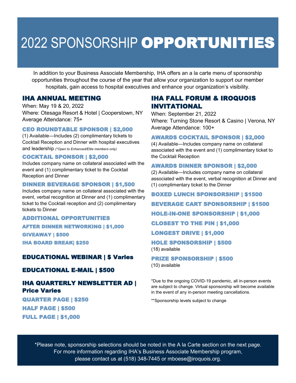## 2022 SPONSORSHIP OPPORTUNITIES

In addition to your Business Associate Membership, IHA offers an a la carte menu of sponsorship opportunities throughout the course of the year that allow your organization to support our member hospitals, gain access to hospital executives and enhance your organization's visibility.

## IHA ANNUAL MEETING

When: May 19 & 20, 2022 Where: Otesaga Resort & Hotel | Cooperstown, NY Average Attendance: 75+

### CEO ROUNDTABLE SPONSOR | \$2,000

(1) Available—Includes (2) complimentary tickets to Cocktail Reception and Dinner with hospital executives and leadership *(\*Open to Enhanced/Elite members only)*

### COCKTAIL SPONSOR | \$2,000

Includes company name on collateral associated with the event and (1) complimentary ticket to the Cocktail Reception and Dinner

#### DINNER BEVERAGE SPONSOR | \$1,500

Includes company name on collateral associated with the event, verbal recognition at Dinner and (1) complimentary ticket to the Cocktail reception and (2) complimentary tickets to Dinner

### ADDITIONAL OPPORTUNITIES

AFTER DINNER NETWORKING | \$1,000 GIVEAWAY | \$500 IHA BOARD BREAK| \$250

## EDUCATIONAL WEBINAR | \$ Varies

## EDUCATIONAL E-MAIL | \$500

## IHA QUARTERLY NEWSLETTER AD | Price Varies

QUARTER PAGE | \$250 HALF PAGE | \$500 FULL PAGE | \$1,000

## IHA FALL FORUM & IROQUOIS INVITATIONAL

When: September 21, 2022 Where: Turning Stone Resort & Casino | Verona, NY Average Attendance: 100+

### AWARDS COCKTAIL SPONSOR | \$2,000

(4) Available—Includes company name on collateral associated with the event and (1) complimentary ticket to the Cocktail Reception

### AWARDS DINNER SPONSOR | \$2,000

(2) Available—Includes company name on collateral associated with the event, verbal recognition at Dinner and (1) complimentary ticket to the Dinner

BOXED LUNCH SPONSORSHIP | \$1500 BEVERAGE CART SPONSORSHIP | \$1500 HOLE-IN-ONE SPONSORSHIP | \$1,000 CLOSEST TO THE PIN | \$1,000 LONGEST DRIVE | \$1,000 HOLE SPONSORSHIP | \$500 (18) available

### PRIZE SPONSORSHIP | \$500

(10) available

\*Due to the ongoing COVID-19 pandemic, all in-person events are subject to change. Virtual sponsorship will become available in the event of any in-person meeting cancellations.

\*\*Sponsorship levels subject to change

\*Please note, sponsorship selections should be noted in the A la Carte section on the next page. For more information regarding IHA's Business Associate Membership program, please contact us at (518) 348-7445 or mboese@iroquois.org.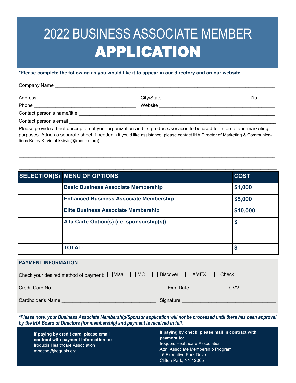## 2022 BUSINESS ASSOCIATE MEMBER APPLICATION

#### **\*Please complete the following as you would like it to appear in our directory and on our website.**

Company Name \_\_\_\_\_\_\_\_\_\_\_\_\_\_\_\_\_\_\_\_\_\_\_\_\_\_\_\_\_\_\_\_\_\_\_\_\_\_\_\_\_\_\_\_\_\_\_\_\_\_\_\_\_\_\_\_\_\_\_\_\_\_\_\_\_\_\_\_\_\_\_\_\_\_\_\_\_\_\_\_\_\_

| Address                                                                                                                 | City/State | ∠ıp. |  |  |
|-------------------------------------------------------------------------------------------------------------------------|------------|------|--|--|
| Phone                                                                                                                   | Website    |      |  |  |
| Contact person's name/title                                                                                             |            |      |  |  |
| Contact person's email                                                                                                  |            |      |  |  |
| Please provide a brief description of your organization and its products/services to be used for internal and marketing |            |      |  |  |

purposes. Attach a separate sheet if needed. (If you'd like assistance, please contact IHA Director of Marketing & Communications Kathy Kirvin at kkirvin@iroquois.org)

 $\bot$  , and the state of the state of the state of the state of the state of the state of the state of the state of the state of the state of the state of the state of the state of the state of the state of the state of th  $\bot$  , and the state of the state of the state of the state of the state of the state of the state of the state of the state of the state of the state of the state of the state of the state of the state of the state of th  $\mathcal{L}_\mathcal{L} = \mathcal{L}_\mathcal{L} = \mathcal{L}_\mathcal{L} = \mathcal{L}_\mathcal{L} = \mathcal{L}_\mathcal{L} = \mathcal{L}_\mathcal{L} = \mathcal{L}_\mathcal{L} = \mathcal{L}_\mathcal{L} = \mathcal{L}_\mathcal{L} = \mathcal{L}_\mathcal{L} = \mathcal{L}_\mathcal{L} = \mathcal{L}_\mathcal{L} = \mathcal{L}_\mathcal{L} = \mathcal{L}_\mathcal{L} = \mathcal{L}_\mathcal{L} = \mathcal{L}_\mathcal{L} = \mathcal{L}_\mathcal{L}$ 

| <b>SELECTION(S) MENU OF OPTIONS</b>           | <b>COST</b> |
|-----------------------------------------------|-------------|
| <b>Basic Business Associate Membership</b>    | \$1,000     |
| <b>Enhanced Business Associate Membership</b> | \$5,000     |
| <b>Elite Business Associate Membership</b>    | \$10,000    |
| A la Carte Option(s) (i.e. sponsorship(s)):   | Ş           |
| <b>TOTAL:</b>                                 |             |

#### **PAYMENT INFORMATION**

| Check your desired method of payment: Visa MC Discover AMEX Check |           |      |
|-------------------------------------------------------------------|-----------|------|
| Credit Card No.                                                   | Exp. Date | CVV: |
| Cardholder's Name                                                 | Signature |      |

*\*Please note, your Business Associate Membership/Sponsor application will not be processed until there has been approval by the IHA Board of Directors (for membership) and payment is received in full.*

**If paying by credit card, please email contract with payment information to:** Iroquois Healthcare Association mboese@iroquois.org

**If paying by check, please mail in contract with payment to:** Iroquois Healthcare Association Attn: Associate Membership Program 15 Executive Park Drive Clifton Park, NY 12065